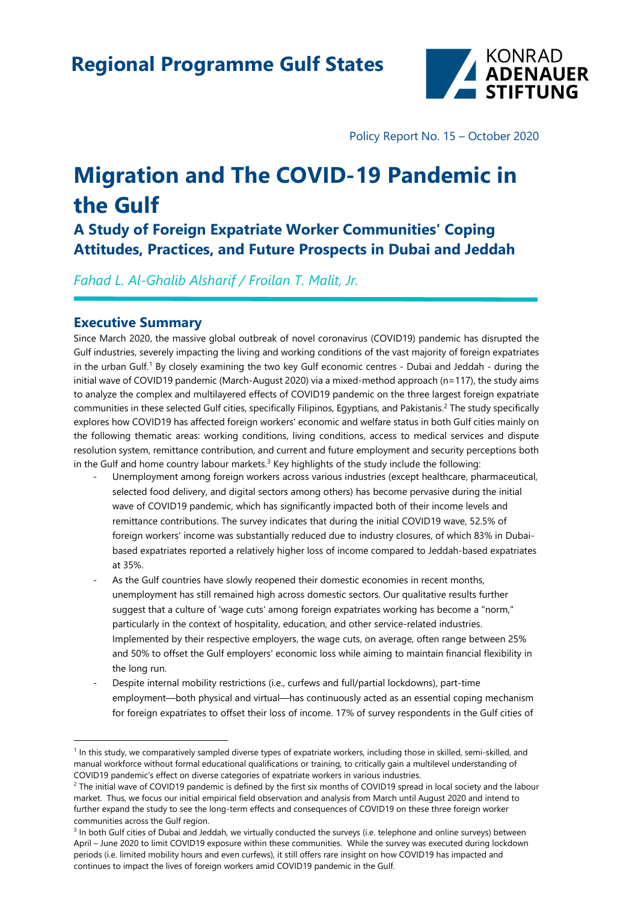

Policy Report No. 15 – October 2020

# Migration and The COVID-19 Pandemic in the Gulf

A Study of Foreign Expatriate Worker Communities' Coping Attitudes, Practices, and Future Prospects in Dubai and Jeddah

Fahad L. Al-Ghalib Alsharif / Froilan T. Malit, Jr.

# Executive Summary

Since March 2020, the massive global outbreak of novel coronavirus (COVID19) pandemic has disrupted the Gulf industries, severely impacting the living and working conditions of the vast majority of foreign expatriates in the urban Gulf.<sup>1</sup> By closely examining the two key Gulf economic centres - Dubai and Jeddah - during the initial wave of COVID19 pandemic (March-August 2020) via a mixed-method approach (n=117), the study aims to analyze the complex and multilayered effects of COVID19 pandemic on the three largest foreign expatriate communities in these selected Gulf cities, specifically Filipinos, Egyptians, and Pakistanis.<sup>2</sup> The study specifically explores how COVID19 has affected foreign workers' economic and welfare status in both Gulf cities mainly on the following thematic areas: working conditions, living conditions, access to medical services and dispute resolution system, remittance contribution, and current and future employment and security perceptions both in the Gulf and home country labour markets.<sup>3</sup> Key highlights of the study include the following:

- Unemployment among foreign workers across various industries (except healthcare, pharmaceutical, selected food delivery, and digital sectors among others) has become pervasive during the initial wave of COVID19 pandemic, which has significantly impacted both of their income levels and remittance contributions. The survey indicates that during the initial COVID19 wave, 52.5% of foreign workers' income was substantially reduced due to industry closures, of which 83% in Dubaibased expatriates reported a relatively higher loss of income compared to Jeddah-based expatriates at 35%.
- As the Gulf countries have slowly reopened their domestic economies in recent months, unemployment has still remained high across domestic sectors. Our qualitative results further suggest that a culture of 'wage cuts' among foreign expatriates working has become a "norm," particularly in the context of hospitality, education, and other service-related industries. Implemented by their respective employers, the wage cuts, on average, often range between 25% and 50% to offset the Gulf employers' economic loss while aiming to maintain financial flexibility in the long run.
- Despite internal mobility restrictions (i.e., curfews and full/partial lockdowns), part-time employment—both physical and virtual—has continuously acted as an essential coping mechanism for foreign expatriates to offset their loss of income. 17% of survey respondents in the Gulf cities of

<sup>&</sup>lt;sup>1</sup> In this study, we comparatively sampled diverse types of expatriate workers, including those in skilled, semi-skilled, and manual workforce without formal educational qualifications or training, to critically gain a multilevel understanding of COVID19 pandemic's effect on diverse categories of expatriate workers in various industries.

<sup>&</sup>lt;sup>2</sup> The initial wave of COVID19 pandemic is defined by the first six months of COVID19 spread in local society and the labour market. Thus, we focus our initial empirical field observation and analysis from March until August 2020 and intend to further expand the study to see the long-term effects and consequences of COVID19 on these three foreign worker communities across the Gulf region.

<sup>&</sup>lt;sup>3</sup> In both Gulf cities of Dubai and Jeddah, we virtually conducted the surveys (i.e. telephone and online surveys) between April – June 2020 to limit COVID19 exposure within these communities. While the survey was executed during lockdown periods (i.e. limited mobility hours and even curfews), it still offers rare insight on how COVID19 has impacted and continues to impact the lives of foreign workers amid COVID19 pandemic in the Gulf.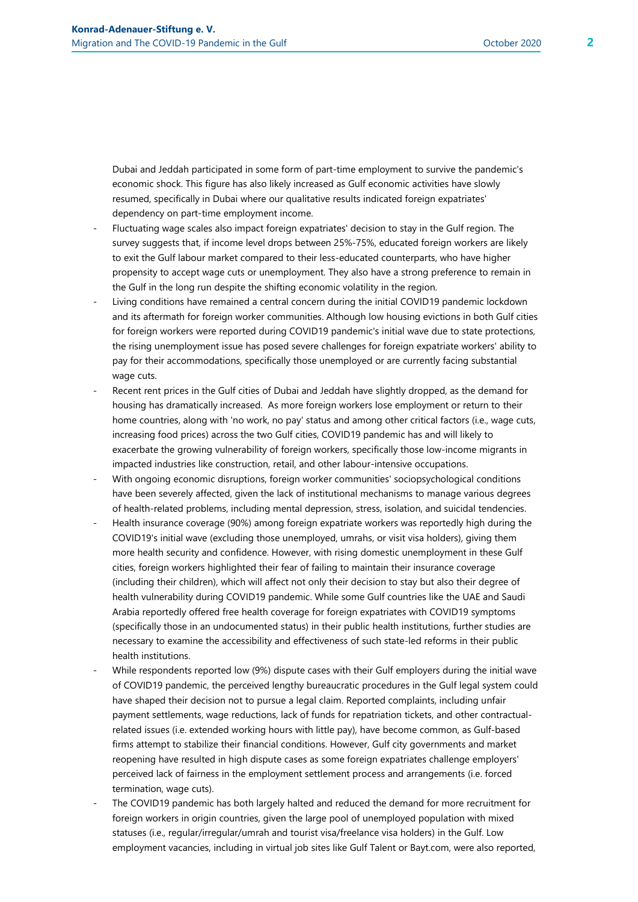Dubai and Jeddah participated in some form of part-time employment to survive the pandemic's economic shock. This figure has also likely increased as Gulf economic activities have slowly resumed, specifically in Dubai where our qualitative results indicated foreign expatriates' dependency on part-time employment income.

- Fluctuating wage scales also impact foreign expatriates' decision to stay in the Gulf region. The survey suggests that, if income level drops between 25%-75%, educated foreign workers are likely to exit the Gulf labour market compared to their less-educated counterparts, who have higher propensity to accept wage cuts or unemployment. They also have a strong preference to remain in the Gulf in the long run despite the shifting economic volatility in the region.
- Living conditions have remained a central concern during the initial COVID19 pandemic lockdown and its aftermath for foreign worker communities. Although low housing evictions in both Gulf cities for foreign workers were reported during COVID19 pandemic's initial wave due to state protections, the rising unemployment issue has posed severe challenges for foreign expatriate workers' ability to pay for their accommodations, specifically those unemployed or are currently facing substantial wage cuts.
- Recent rent prices in the Gulf cities of Dubai and Jeddah have slightly dropped, as the demand for housing has dramatically increased. As more foreign workers lose employment or return to their home countries, along with 'no work, no pay' status and among other critical factors (i.e., wage cuts, increasing food prices) across the two Gulf cities, COVID19 pandemic has and will likely to exacerbate the growing vulnerability of foreign workers, specifically those low-income migrants in impacted industries like construction, retail, and other labour-intensive occupations.
- With ongoing economic disruptions, foreign worker communities' sociopsychological conditions have been severely affected, given the lack of institutional mechanisms to manage various degrees of health-related problems, including mental depression, stress, isolation, and suicidal tendencies.
- Health insurance coverage (90%) among foreign expatriate workers was reportedly high during the COVID19's initial wave (excluding those unemployed, umrahs, or visit visa holders), giving them more health security and confidence. However, with rising domestic unemployment in these Gulf cities, foreign workers highlighted their fear of failing to maintain their insurance coverage (including their children), which will affect not only their decision to stay but also their degree of health vulnerability during COVID19 pandemic. While some Gulf countries like the UAE and Saudi Arabia reportedly offered free health coverage for foreign expatriates with COVID19 symptoms (specifically those in an undocumented status) in their public health institutions, further studies are necessary to examine the accessibility and effectiveness of such state-led reforms in their public health institutions.
- While respondents reported low (9%) dispute cases with their Gulf employers during the initial wave of COVID19 pandemic, the perceived lengthy bureaucratic procedures in the Gulf legal system could have shaped their decision not to pursue a legal claim. Reported complaints, including unfair payment settlements, wage reductions, lack of funds for repatriation tickets, and other contractualrelated issues (i.e. extended working hours with little pay), have become common, as Gulf-based firms attempt to stabilize their financial conditions. However, Gulf city governments and market reopening have resulted in high dispute cases as some foreign expatriates challenge employers' perceived lack of fairness in the employment settlement process and arrangements (i.e. forced termination, wage cuts).
- The COVID19 pandemic has both largely halted and reduced the demand for more recruitment for foreign workers in origin countries, given the large pool of unemployed population with mixed statuses (i.e., regular/irregular/umrah and tourist visa/freelance visa holders) in the Gulf. Low employment vacancies, including in virtual job sites like Gulf Talent or Bayt.com, were also reported,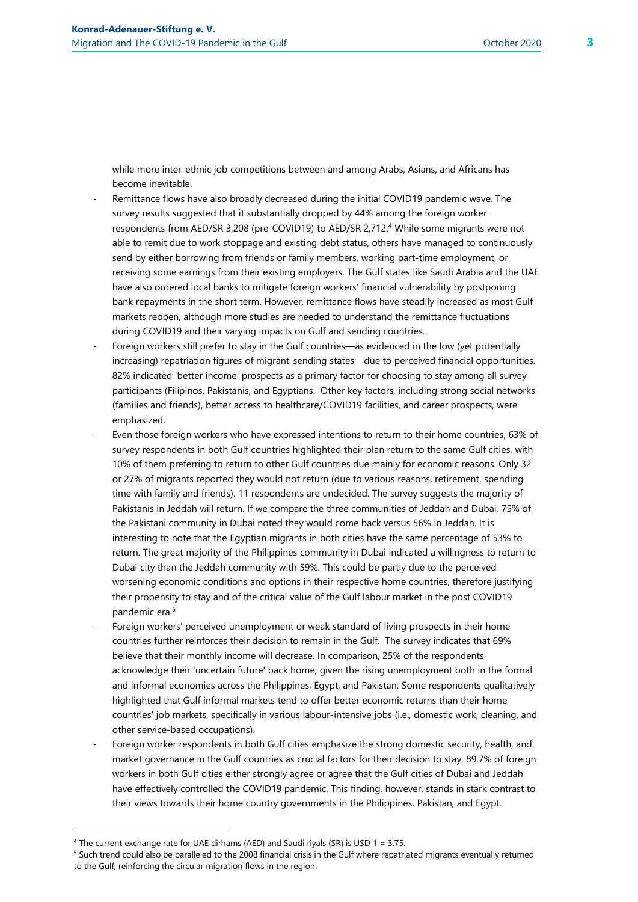while more inter-ethnic job competitions between and among Arabs, Asians, and Africans has become inevitable.

- Remittance flows have also broadly decreased during the initial COVID19 pandemic wave. The survey results suggested that it substantially dropped by 44% among the foreign worker respondents from AED/SR 3,208 (pre-COVID19) to AED/SR 2,712.<sup>4</sup> While some migrants were not able to remit due to work stoppage and existing debt status, others have managed to continuously send by either borrowing from friends or family members, working part-time employment, or receiving some earnings from their existing employers. The Gulf states like Saudi Arabia and the UAE have also ordered local banks to mitigate foreign workers' financial vulnerability by postponing bank repayments in the short term. However, remittance flows have steadily increased as most Gulf markets reopen, although more studies are needed to understand the remittance fluctuations during COVID19 and their varying impacts on Gulf and sending countries.
- Foreign workers still prefer to stay in the Gulf countries—as evidenced in the low (yet potentially increasing) repatriation figures of migrant-sending states—due to perceived financial opportunities. 82% indicated 'better income' prospects as a primary factor for choosing to stay among all survey participants (Filipinos, Pakistanis, and Egyptians. Other key factors, including strong social networks (families and friends), better access to healthcare/COVID19 facilities, and career prospects, were emphasized.
- Even those foreign workers who have expressed intentions to return to their home countries, 63% of survey respondents in both Gulf countries highlighted their plan return to the same Gulf cities, with 10% of them preferring to return to other Gulf countries due mainly for economic reasons. Only 32 or 27% of migrants reported they would not return (due to various reasons, retirement, spending time with family and friends). 11 respondents are undecided. The survey suggests the majority of Pakistanis in Jeddah will return. If we compare the three communities of Jeddah and Dubai, 75% of the Pakistani community in Dubai noted they would come back versus 56% in Jeddah. It is interesting to note that the Egyptian migrants in both cities have the same percentage of 53% to return. The great majority of the Philippines community in Dubai indicated a willingness to return to Dubai city than the Jeddah community with 59%. This could be partly due to the perceived worsening economic conditions and options in their respective home countries, therefore justifying their propensity to stay and of the critical value of the Gulf labour market in the post COVID19 pandemic era.<sup>5</sup>
- Foreign workers' perceived unemployment or weak standard of living prospects in their home countries further reinforces their decision to remain in the Gulf. The survey indicates that 69% believe that their monthly income will decrease. In comparison, 25% of the respondents acknowledge their 'uncertain future' back home, given the rising unemployment both in the formal and informal economies across the Philippines, Egypt, and Pakistan. Some respondents qualitatively highlighted that Gulf informal markets tend to offer better economic returns than their home countries' job markets, specifically in various labour-intensive jobs (i.e., domestic work, cleaning, and other service-based occupations).
- Foreign worker respondents in both Gulf cities emphasize the strong domestic security, health, and market governance in the Gulf countries as crucial factors for their decision to stay. 89.7% of foreign workers in both Gulf cities either strongly agree or agree that the Gulf cities of Dubai and Jeddah have effectively controlled the COVID19 pandemic. This finding, however, stands in stark contrast to their views towards their home country governments in the Philippines, Pakistan, and Egypt.

<sup>4</sup> The current exchange rate for UAE dirhams (AED) and Saudi riyals (SR) is USD 1 = 3.75.

<sup>&</sup>lt;sup>5</sup> Such trend could also be paralleled to the 2008 financial crisis in the Gulf where repatriated migrants eventually returned to the Gulf, reinforcing the circular migration flows in the region.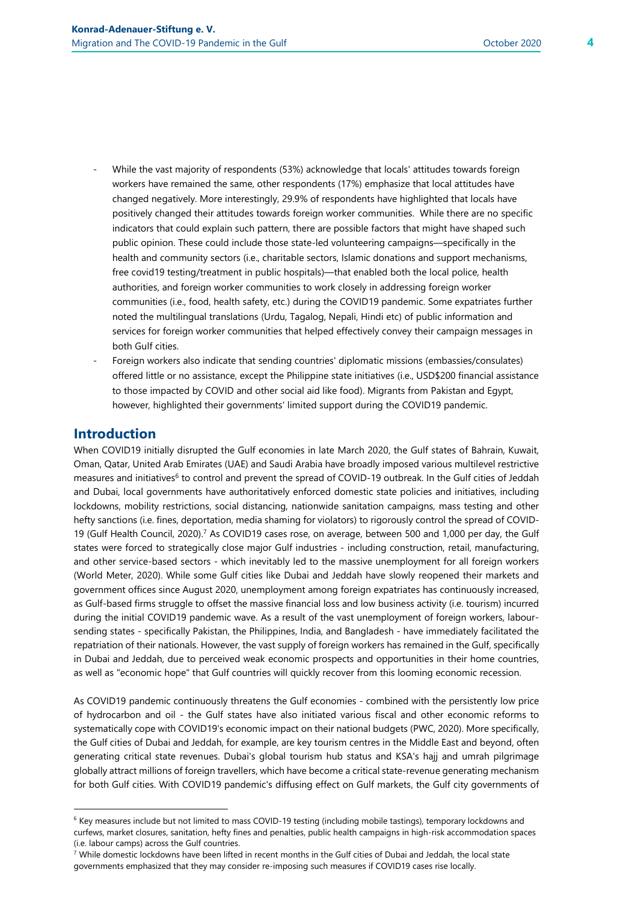- While the vast majority of respondents (53%) acknowledge that locals' attitudes towards foreign workers have remained the same, other respondents (17%) emphasize that local attitudes have changed negatively. More interestingly, 29.9% of respondents have highlighted that locals have positively changed their attitudes towards foreign worker communities. While there are no specific indicators that could explain such pattern, there are possible factors that might have shaped such public opinion. These could include those state-led volunteering campaigns—specifically in the health and community sectors (i.e., charitable sectors, Islamic donations and support mechanisms, free covid19 testing/treatment in public hospitals)—that enabled both the local police, health authorities, and foreign worker communities to work closely in addressing foreign worker communities (i.e., food, health safety, etc.) during the COVID19 pandemic. Some expatriates further noted the multilingual translations (Urdu, Tagalog, Nepali, Hindi etc) of public information and services for foreign worker communities that helped effectively convey their campaign messages in both Gulf cities.
- Foreign workers also indicate that sending countries' diplomatic missions (embassies/consulates) offered little or no assistance, except the Philippine state initiatives (i.e., USD\$200 financial assistance to those impacted by COVID and other social aid like food). Migrants from Pakistan and Egypt, however, highlighted their governments' limited support during the COVID19 pandemic.

# Introduction

When COVID19 initially disrupted the Gulf economies in late March 2020, the Gulf states of Bahrain, Kuwait, Oman, Qatar, United Arab Emirates (UAE) and Saudi Arabia have broadly imposed various multilevel restrictive measures and initiatives<sup>6</sup> to control and prevent the spread of COVID-19 outbreak. In the Gulf cities of Jeddah and Dubai, local governments have authoritatively enforced domestic state policies and initiatives, including lockdowns, mobility restrictions, social distancing, nationwide sanitation campaigns, mass testing and other hefty sanctions (i.e. fines, deportation, media shaming for violators) to rigorously control the spread of COVID-19 (Gulf Health Council, 2020).<sup>7</sup> As COVID19 cases rose, on average, between 500 and 1,000 per day, the Gulf states were forced to strategically close major Gulf industries - including construction, retail, manufacturing, and other service-based sectors - which inevitably led to the massive unemployment for all foreign workers (World Meter, 2020). While some Gulf cities like Dubai and Jeddah have slowly reopened their markets and government offices since August 2020, unemployment among foreign expatriates has continuously increased, as Gulf-based firms struggle to offset the massive financial loss and low business activity (i.e. tourism) incurred during the initial COVID19 pandemic wave. As a result of the vast unemployment of foreign workers, laboursending states - specifically Pakistan, the Philippines, India, and Bangladesh - have immediately facilitated the repatriation of their nationals. However, the vast supply of foreign workers has remained in the Gulf, specifically in Dubai and Jeddah, due to perceived weak economic prospects and opportunities in their home countries, as well as "economic hope" that Gulf countries will quickly recover from this looming economic recession.

As COVID19 pandemic continuously threatens the Gulf economies - combined with the persistently low price of hydrocarbon and oil - the Gulf states have also initiated various fiscal and other economic reforms to systematically cope with COVID19's economic impact on their national budgets (PWC, 2020). More specifically, the Gulf cities of Dubai and Jeddah, for example, are key tourism centres in the Middle East and beyond, often generating critical state revenues. Dubai's global tourism hub status and KSA's hajj and umrah pilgrimage globally attract millions of foreign travellers, which have become a critical state-revenue generating mechanism for both Gulf cities. With COVID19 pandemic's diffusing effect on Gulf markets, the Gulf city governments of

<sup>6</sup> Key measures include but not limited to mass COVID-19 testing (including mobile tastings), temporary lockdowns and curfews, market closures, sanitation, hefty fines and penalties, public health campaigns in high-risk accommodation spaces (i.e. labour camps) across the Gulf countries.

 $^7$  While domestic lockdowns have been lifted in recent months in the Gulf cities of Dubai and Jeddah, the local state governments emphasized that they may consider re-imposing such measures if COVID19 cases rise locally.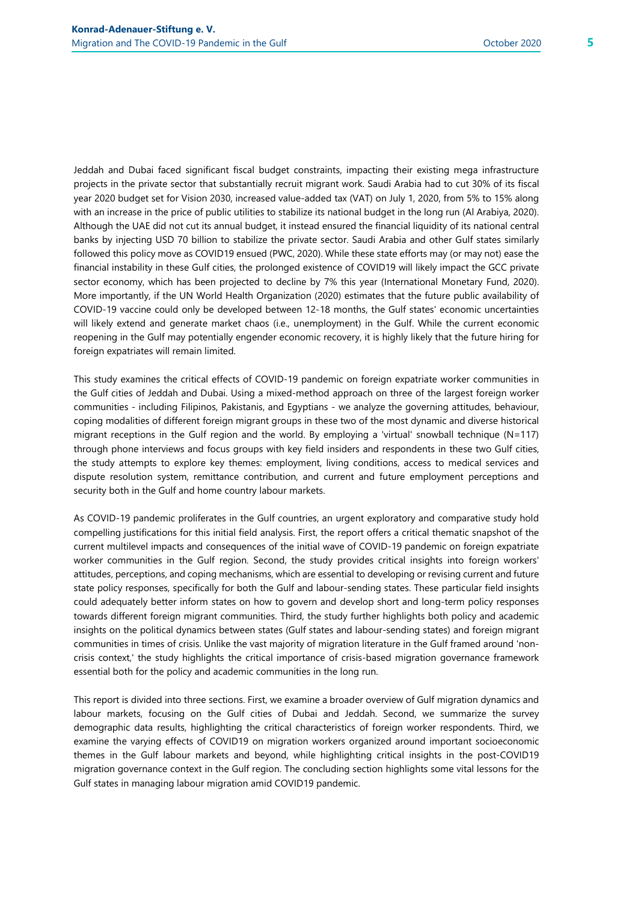foreign expatriates will remain limited.

Jeddah and Dubai faced significant fiscal budget constraints, impacting their existing mega infrastructure projects in the private sector that substantially recruit migrant work. Saudi Arabia had to cut 30% of its fiscal year 2020 budget set for Vision 2030, increased value-added tax (VAT) on July 1, 2020, from 5% to 15% along with an increase in the price of public utilities to stabilize its national budget in the long run (Al Arabiya, 2020). Although the UAE did not cut its annual budget, it instead ensured the financial liquidity of its national central banks by injecting USD 70 billion to stabilize the private sector. Saudi Arabia and other Gulf states similarly followed this policy move as COVID19 ensued (PWC, 2020). While these state efforts may (or may not) ease the financial instability in these Gulf cities, the prolonged existence of COVID19 will likely impact the GCC private sector economy, which has been projected to decline by 7% this year (International Monetary Fund, 2020). More importantly, if the UN World Health Organization (2020) estimates that the future public availability of COVID-19 vaccine could only be developed between 12-18 months, the Gulf states' economic uncertainties will likely extend and generate market chaos (i.e., unemployment) in the Gulf. While the current economic reopening in the Gulf may potentially engender economic recovery, it is highly likely that the future hiring for

This study examines the critical effects of COVID-19 pandemic on foreign expatriate worker communities in the Gulf cities of Jeddah and Dubai. Using a mixed-method approach on three of the largest foreign worker communities - including Filipinos, Pakistanis, and Egyptians - we analyze the governing attitudes, behaviour, coping modalities of different foreign migrant groups in these two of the most dynamic and diverse historical migrant receptions in the Gulf region and the world. By employing a 'virtual' snowball technique (N=117) through phone interviews and focus groups with key field insiders and respondents in these two Gulf cities, the study attempts to explore key themes: employment, living conditions, access to medical services and dispute resolution system, remittance contribution, and current and future employment perceptions and security both in the Gulf and home country labour markets.

As COVID-19 pandemic proliferates in the Gulf countries, an urgent exploratory and comparative study hold compelling justifications for this initial field analysis. First, the report offers a critical thematic snapshot of the current multilevel impacts and consequences of the initial wave of COVID-19 pandemic on foreign expatriate worker communities in the Gulf region. Second, the study provides critical insights into foreign workers' attitudes, perceptions, and coping mechanisms, which are essential to developing or revising current and future state policy responses, specifically for both the Gulf and labour-sending states. These particular field insights could adequately better inform states on how to govern and develop short and long-term policy responses towards different foreign migrant communities. Third, the study further highlights both policy and academic insights on the political dynamics between states (Gulf states and labour-sending states) and foreign migrant communities in times of crisis. Unlike the vast majority of migration literature in the Gulf framed around 'noncrisis context,' the study highlights the critical importance of crisis-based migration governance framework essential both for the policy and academic communities in the long run.

This report is divided into three sections. First, we examine a broader overview of Gulf migration dynamics and labour markets, focusing on the Gulf cities of Dubai and Jeddah. Second, we summarize the survey demographic data results, highlighting the critical characteristics of foreign worker respondents. Third, we examine the varying effects of COVID19 on migration workers organized around important socioeconomic themes in the Gulf labour markets and beyond, while highlighting critical insights in the post-COVID19 migration governance context in the Gulf region. The concluding section highlights some vital lessons for the Gulf states in managing labour migration amid COVID19 pandemic.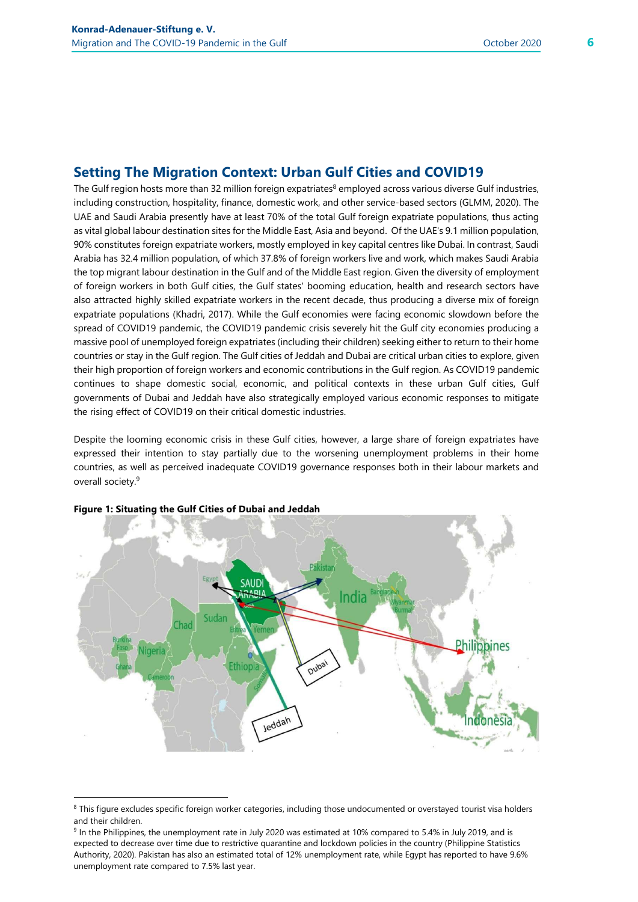# Setting The Migration Context: Urban Gulf Cities and COVID19

The Gulf region hosts more than 32 million foreign expatriates<sup>8</sup> employed across various diverse Gulf industries, including construction, hospitality, finance, domestic work, and other service-based sectors (GLMM, 2020). The UAE and Saudi Arabia presently have at least 70% of the total Gulf foreign expatriate populations, thus acting as vital global labour destination sites for the Middle East, Asia and beyond. Of the UAE's 9.1 million population, 90% constitutes foreign expatriate workers, mostly employed in key capital centres like Dubai. In contrast, Saudi Arabia has 32.4 million population, of which 37.8% of foreign workers live and work, which makes Saudi Arabia the top migrant labour destination in the Gulf and of the Middle East region. Given the diversity of employment of foreign workers in both Gulf cities, the Gulf states' booming education, health and research sectors have also attracted highly skilled expatriate workers in the recent decade, thus producing a diverse mix of foreign expatriate populations (Khadri, 2017). While the Gulf economies were facing economic slowdown before the spread of COVID19 pandemic, the COVID19 pandemic crisis severely hit the Gulf city economies producing a massive pool of unemployed foreign expatriates (including their children) seeking either to return to their home countries or stay in the Gulf region. The Gulf cities of Jeddah and Dubai are critical urban cities to explore, given their high proportion of foreign workers and economic contributions in the Gulf region. As COVID19 pandemic continues to shape domestic social, economic, and political contexts in these urban Gulf cities, Gulf governments of Dubai and Jeddah have also strategically employed various economic responses to mitigate the rising effect of COVID19 on their critical domestic industries.

Despite the looming economic crisis in these Gulf cities, however, a large share of foreign expatriates have expressed their intention to stay partially due to the worsening unemployment problems in their home countries, as well as perceived inadequate COVID19 governance responses both in their labour markets and overall society.<sup>9</sup>



#### Figure 1: Situating the Gulf Cities of Dubai and Jeddah

<sup>&</sup>lt;sup>8</sup> This figure excludes specific foreign worker categories, including those undocumented or overstayed tourist visa holders and their children.

<sup>&</sup>lt;sup>9</sup> In the Philippines, the unemployment rate in July 2020 was estimated at 10% compared to 5.4% in July 2019, and is expected to decrease over time due to restrictive quarantine and lockdown policies in the country (Philippine Statistics Authority, 2020). Pakistan has also an estimated total of 12% unemployment rate, while Egypt has reported to have 9.6% unemployment rate compared to 7.5% last year.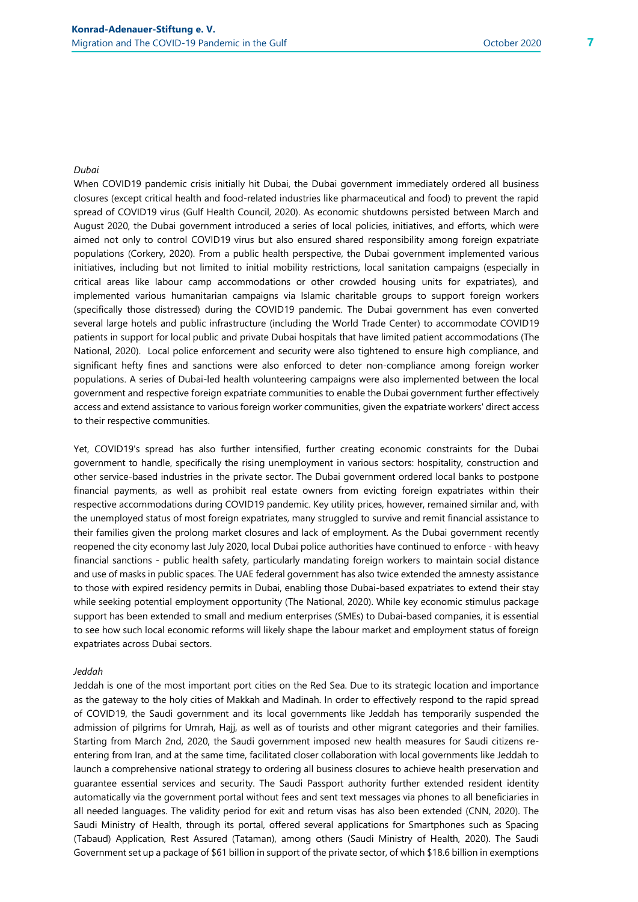#### Dubai

When COVID19 pandemic crisis initially hit Dubai, the Dubai government immediately ordered all business closures (except critical health and food-related industries like pharmaceutical and food) to prevent the rapid spread of COVID19 virus (Gulf Health Council, 2020). As economic shutdowns persisted between March and August 2020, the Dubai government introduced a series of local policies, initiatives, and efforts, which were aimed not only to control COVID19 virus but also ensured shared responsibility among foreign expatriate populations (Corkery, 2020). From a public health perspective, the Dubai government implemented various initiatives, including but not limited to initial mobility restrictions, local sanitation campaigns (especially in critical areas like labour camp accommodations or other crowded housing units for expatriates), and implemented various humanitarian campaigns via Islamic charitable groups to support foreign workers (specifically those distressed) during the COVID19 pandemic. The Dubai government has even converted several large hotels and public infrastructure (including the World Trade Center) to accommodate COVID19 patients in support for local public and private Dubai hospitals that have limited patient accommodations (The National, 2020). Local police enforcement and security were also tightened to ensure high compliance, and significant hefty fines and sanctions were also enforced to deter non-compliance among foreign worker populations. A series of Dubai-led health volunteering campaigns were also implemented between the local government and respective foreign expatriate communities to enable the Dubai government further effectively access and extend assistance to various foreign worker communities, given the expatriate workers' direct access to their respective communities.

Yet, COVID19's spread has also further intensified, further creating economic constraints for the Dubai government to handle, specifically the rising unemployment in various sectors: hospitality, construction and other service-based industries in the private sector. The Dubai government ordered local banks to postpone financial payments, as well as prohibit real estate owners from evicting foreign expatriates within their respective accommodations during COVID19 pandemic. Key utility prices, however, remained similar and, with the unemployed status of most foreign expatriates, many struggled to survive and remit financial assistance to their families given the prolong market closures and lack of employment. As the Dubai government recently reopened the city economy last July 2020, local Dubai police authorities have continued to enforce - with heavy financial sanctions - public health safety, particularly mandating foreign workers to maintain social distance and use of masks in public spaces. The UAE federal government has also twice extended the amnesty assistance to those with expired residency permits in Dubai, enabling those Dubai-based expatriates to extend their stay while seeking potential employment opportunity (The National, 2020). While key economic stimulus package support has been extended to small and medium enterprises (SMEs) to Dubai-based companies, it is essential to see how such local economic reforms will likely shape the labour market and employment status of foreign expatriates across Dubai sectors.

#### Jeddah

Jeddah is one of the most important port cities on the Red Sea. Due to its strategic location and importance as the gateway to the holy cities of Makkah and Madinah. In order to effectively respond to the rapid spread of COVID19, the Saudi government and its local governments like Jeddah has temporarily suspended the admission of pilgrims for Umrah, Hajj, as well as of tourists and other migrant categories and their families. Starting from March 2nd, 2020, the Saudi government imposed new health measures for Saudi citizens reentering from Iran, and at the same time, facilitated closer collaboration with local governments like Jeddah to launch a comprehensive national strategy to ordering all business closures to achieve health preservation and guarantee essential services and security. The Saudi Passport authority further extended resident identity automatically via the government portal without fees and sent text messages via phones to all beneficiaries in all needed languages. The validity period for exit and return visas has also been extended (CNN, 2020). The Saudi Ministry of Health, through its portal, offered several applications for Smartphones such as Spacing (Tabaud) Application, Rest Assured (Tataman), among others (Saudi Ministry of Health, 2020). The Saudi Government set up a package of \$61 billion in support of the private sector, of which \$18.6 billion in exemptions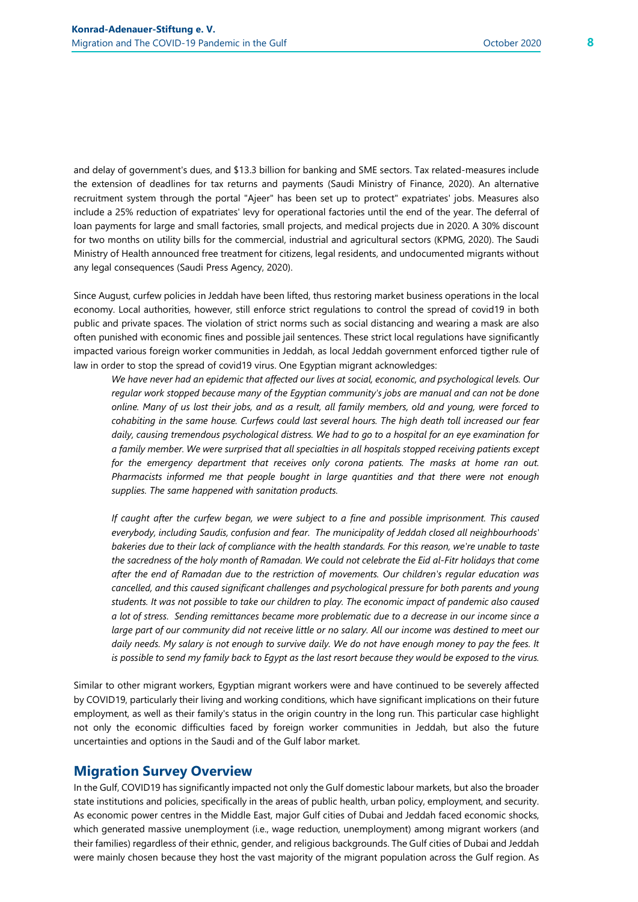and delay of government's dues, and \$13.3 billion for banking and SME sectors. Tax related-measures include the extension of deadlines for tax returns and payments (Saudi Ministry of Finance, 2020). An alternative recruitment system through the portal "Ajeer" has been set up to protect" expatriates' jobs. Measures also include a 25% reduction of expatriates' levy for operational factories until the end of the year. The deferral of loan payments for large and small factories, small projects, and medical projects due in 2020. A 30% discount for two months on utility bills for the commercial, industrial and agricultural sectors (KPMG, 2020). The Saudi Ministry of Health announced free treatment for citizens, legal residents, and undocumented migrants without any legal consequences (Saudi Press Agency, 2020).

Since August, curfew policies in Jeddah have been lifted, thus restoring market business operations in the local economy. Local authorities, however, still enforce strict regulations to control the spread of covid19 in both public and private spaces. The violation of strict norms such as social distancing and wearing a mask are also often punished with economic fines and possible jail sentences. These strict local regulations have significantly impacted various foreign worker communities in Jeddah, as local Jeddah government enforced tigther rule of law in order to stop the spread of covid19 virus. One Egyptian migrant acknowledges:

We have never had an epidemic that affected our lives at social, economic, and psychological levels. Our regular work stopped because many of the Egyptian community's jobs are manual and can not be done online. Many of us lost their jobs, and as a result, all family members, old and young, were forced to cohabiting in the same house. Curfews could last several hours. The high death toll increased our fear daily, causing tremendous psychological distress. We had to go to a hospital for an eye examination for a family member. We were surprised that all specialties in all hospitals stopped receiving patients except for the emergency department that receives only corona patients. The masks at home ran out. Pharmacists informed me that people bought in large quantities and that there were not enough supplies. The same happened with sanitation products.

If caught after the curfew began, we were subject to a fine and possible imprisonment. This caused everybody, including Saudis, confusion and fear. The municipality of Jeddah closed all neighbourhoods' bakeries due to their lack of compliance with the health standards. For this reason, we're unable to taste the sacredness of the holy month of Ramadan. We could not celebrate the Eid al-Fitr holidays that come after the end of Ramadan due to the restriction of movements. Our children's regular education was cancelled, and this caused significant challenges and psychological pressure for both parents and young students. It was not possible to take our children to play. The economic impact of pandemic also caused a lot of stress. Sending remittances became more problematic due to a decrease in our income since a large part of our community did not receive little or no salary. All our income was destined to meet our daily needs. My salary is not enough to survive daily. We do not have enough money to pay the fees. It is possible to send my family back to Egypt as the last resort because they would be exposed to the virus.

Similar to other migrant workers, Egyptian migrant workers were and have continued to be severely affected by COVID19, particularly their living and working conditions, which have significant implications on their future employment, as well as their family's status in the origin country in the long run. This particular case highlight not only the economic difficulties faced by foreign worker communities in Jeddah, but also the future uncertainties and options in the Saudi and of the Gulf labor market.

# Migration Survey Overview

In the Gulf, COVID19 has significantly impacted not only the Gulf domestic labour markets, but also the broader state institutions and policies, specifically in the areas of public health, urban policy, employment, and security. As economic power centres in the Middle East, major Gulf cities of Dubai and Jeddah faced economic shocks, which generated massive unemployment (i.e., wage reduction, unemployment) among migrant workers (and their families) regardless of their ethnic, gender, and religious backgrounds. The Gulf cities of Dubai and Jeddah were mainly chosen because they host the vast majority of the migrant population across the Gulf region. As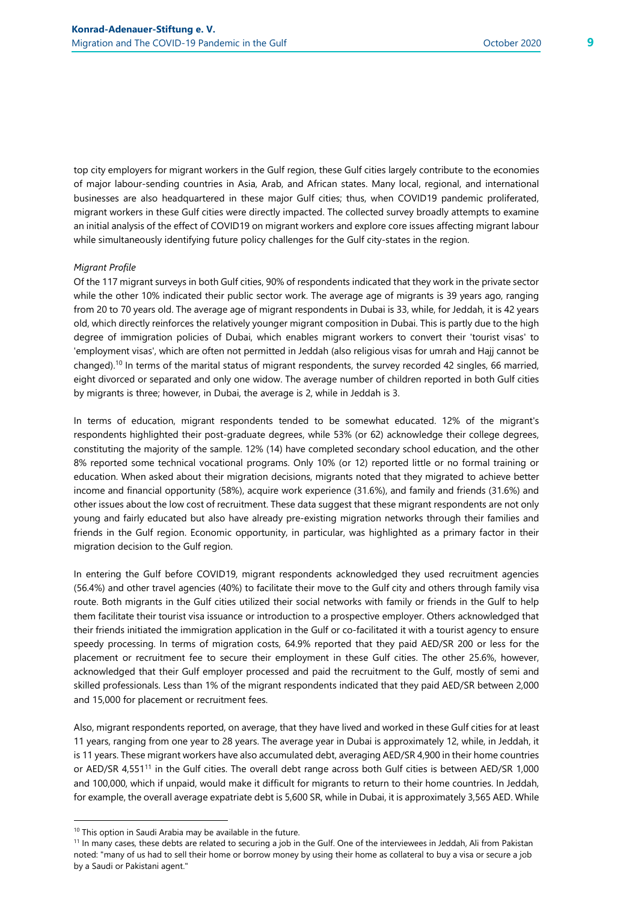top city employers for migrant workers in the Gulf region, these Gulf cities largely contribute to the economies of major labour-sending countries in Asia, Arab, and African states. Many local, regional, and international businesses are also headquartered in these major Gulf cities; thus, when COVID19 pandemic proliferated, migrant workers in these Gulf cities were directly impacted. The collected survey broadly attempts to examine an initial analysis of the effect of COVID19 on migrant workers and explore core issues affecting migrant labour while simultaneously identifying future policy challenges for the Gulf city-states in the region.

#### Migrant Profile

Of the 117 migrant surveys in both Gulf cities, 90% of respondents indicated that they work in the private sector while the other 10% indicated their public sector work. The average age of migrants is 39 years ago, ranging from 20 to 70 years old. The average age of migrant respondents in Dubai is 33, while, for Jeddah, it is 42 years old, which directly reinforces the relatively younger migrant composition in Dubai. This is partly due to the high degree of immigration policies of Dubai, which enables migrant workers to convert their 'tourist visas' to 'employment visas', which are often not permitted in Jeddah (also religious visas for umrah and Hajj cannot be changed).<sup>10</sup> In terms of the marital status of migrant respondents, the survey recorded 42 singles, 66 married, eight divorced or separated and only one widow. The average number of children reported in both Gulf cities by migrants is three; however, in Dubai, the average is 2, while in Jeddah is 3.

In terms of education, migrant respondents tended to be somewhat educated. 12% of the migrant's respondents highlighted their post-graduate degrees, while 53% (or 62) acknowledge their college degrees, constituting the majority of the sample. 12% (14) have completed secondary school education, and the other 8% reported some technical vocational programs. Only 10% (or 12) reported little or no formal training or education. When asked about their migration decisions, migrants noted that they migrated to achieve better income and financial opportunity (58%), acquire work experience (31.6%), and family and friends (31.6%) and other issues about the low cost of recruitment. These data suggest that these migrant respondents are not only young and fairly educated but also have already pre-existing migration networks through their families and friends in the Gulf region. Economic opportunity, in particular, was highlighted as a primary factor in their migration decision to the Gulf region.

In entering the Gulf before COVID19, migrant respondents acknowledged they used recruitment agencies (56.4%) and other travel agencies (40%) to facilitate their move to the Gulf city and others through family visa route. Both migrants in the Gulf cities utilized their social networks with family or friends in the Gulf to help them facilitate their tourist visa issuance or introduction to a prospective employer. Others acknowledged that their friends initiated the immigration application in the Gulf or co-facilitated it with a tourist agency to ensure speedy processing. In terms of migration costs, 64.9% reported that they paid AED/SR 200 or less for the placement or recruitment fee to secure their employment in these Gulf cities. The other 25.6%, however, acknowledged that their Gulf employer processed and paid the recruitment to the Gulf, mostly of semi and skilled professionals. Less than 1% of the migrant respondents indicated that they paid AED/SR between 2,000 and 15,000 for placement or recruitment fees.

Also, migrant respondents reported, on average, that they have lived and worked in these Gulf cities for at least 11 years, ranging from one year to 28 years. The average year in Dubai is approximately 12, while, in Jeddah, it is 11 years. These migrant workers have also accumulated debt, averaging AED/SR 4,900 in their home countries or AED/SR 4,551<sup>11</sup> in the Gulf cities. The overall debt range across both Gulf cities is between AED/SR 1,000 and 100,000, which if unpaid, would make it difficult for migrants to return to their home countries. In Jeddah, for example, the overall average expatriate debt is 5,600 SR, while in Dubai, it is approximately 3,565 AED. While

<sup>&</sup>lt;sup>10</sup> This option in Saudi Arabia may be available in the future.

<sup>&</sup>lt;sup>11</sup> In many cases, these debts are related to securing a job in the Gulf. One of the interviewees in Jeddah, Ali from Pakistan noted: "many of us had to sell their home or borrow money by using their home as collateral to buy a visa or secure a job by a Saudi or Pakistani agent."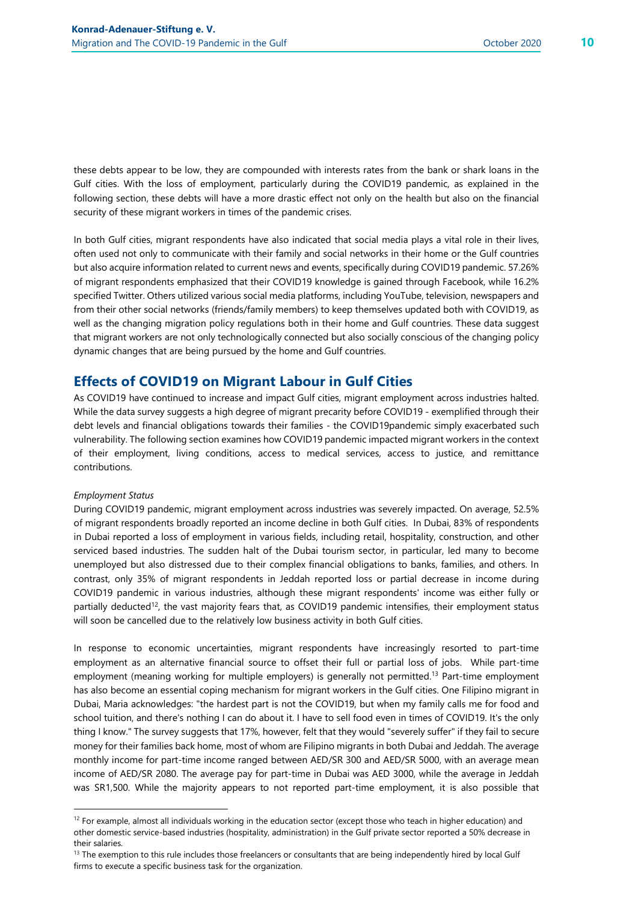these debts appear to be low, they are compounded with interests rates from the bank or shark loans in the Gulf cities. With the loss of employment, particularly during the COVID19 pandemic, as explained in the following section, these debts will have a more drastic effect not only on the health but also on the financial security of these migrant workers in times of the pandemic crises.

In both Gulf cities, migrant respondents have also indicated that social media plays a vital role in their lives, often used not only to communicate with their family and social networks in their home or the Gulf countries but also acquire information related to current news and events, specifically during COVID19 pandemic. 57.26% of migrant respondents emphasized that their COVID19 knowledge is gained through Facebook, while 16.2% specified Twitter. Others utilized various social media platforms, including YouTube, television, newspapers and from their other social networks (friends/family members) to keep themselves updated both with COVID19, as well as the changing migration policy regulations both in their home and Gulf countries. These data suggest that migrant workers are not only technologically connected but also socially conscious of the changing policy dynamic changes that are being pursued by the home and Gulf countries.

# Effects of COVID19 on Migrant Labour in Gulf Cities

As COVID19 have continued to increase and impact Gulf cities, migrant employment across industries halted. While the data survey suggests a high degree of migrant precarity before COVID19 - exemplified through their debt levels and financial obligations towards their families - the COVID19pandemic simply exacerbated such vulnerability. The following section examines how COVID19 pandemic impacted migrant workers in the context of their employment, living conditions, access to medical services, access to justice, and remittance contributions.

#### Employment Status

During COVID19 pandemic, migrant employment across industries was severely impacted. On average, 52.5% of migrant respondents broadly reported an income decline in both Gulf cities. In Dubai, 83% of respondents in Dubai reported a loss of employment in various fields, including retail, hospitality, construction, and other serviced based industries. The sudden halt of the Dubai tourism sector, in particular, led many to become unemployed but also distressed due to their complex financial obligations to banks, families, and others. In contrast, only 35% of migrant respondents in Jeddah reported loss or partial decrease in income during COVID19 pandemic in various industries, although these migrant respondents' income was either fully or partially deducted<sup>12</sup>, the vast majority fears that, as COVID19 pandemic intensifies, their employment status will soon be cancelled due to the relatively low business activity in both Gulf cities.

In response to economic uncertainties, migrant respondents have increasingly resorted to part-time employment as an alternative financial source to offset their full or partial loss of jobs. While part-time employment (meaning working for multiple employers) is generally not permitted.<sup>13</sup> Part-time employment has also become an essential coping mechanism for migrant workers in the Gulf cities. One Filipino migrant in Dubai, Maria acknowledges: "the hardest part is not the COVID19, but when my family calls me for food and school tuition, and there's nothing I can do about it. I have to sell food even in times of COVID19. It's the only thing I know." The survey suggests that 17%, however, felt that they would "severely suffer" if they fail to secure money for their families back home, most of whom are Filipino migrants in both Dubai and Jeddah. The average monthly income for part-time income ranged between AED/SR 300 and AED/SR 5000, with an average mean income of AED/SR 2080. The average pay for part-time in Dubai was AED 3000, while the average in Jeddah was SR1,500. While the majority appears to not reported part-time employment, it is also possible that

 $<sup>13</sup>$  The exemption to this rule includes those freelancers or consultants that are being independently hired by local Gulf</sup> firms to execute a specific business task for the organization.

 $12$  For example, almost all individuals working in the education sector (except those who teach in higher education) and other domestic service-based industries (hospitality, administration) in the Gulf private sector reported a 50% decrease in their salaries.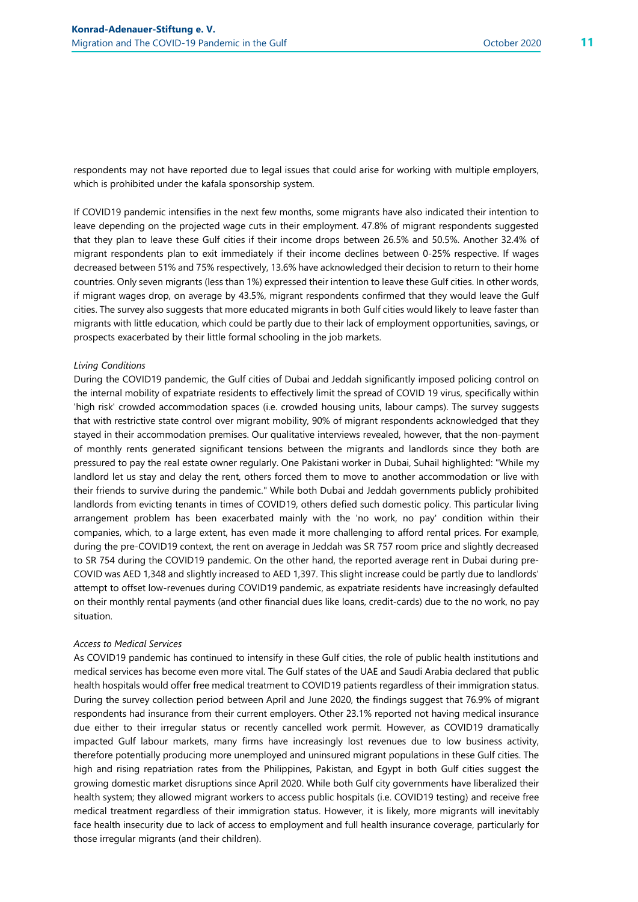respondents may not have reported due to legal issues that could arise for working with multiple employers, which is prohibited under the kafala sponsorship system.

If COVID19 pandemic intensifies in the next few months, some migrants have also indicated their intention to leave depending on the projected wage cuts in their employment. 47.8% of migrant respondents suggested that they plan to leave these Gulf cities if their income drops between 26.5% and 50.5%. Another 32.4% of migrant respondents plan to exit immediately if their income declines between 0-25% respective. If wages decreased between 51% and 75% respectively, 13.6% have acknowledged their decision to return to their home countries. Only seven migrants (less than 1%) expressed their intention to leave these Gulf cities. In other words, if migrant wages drop, on average by 43.5%, migrant respondents confirmed that they would leave the Gulf cities. The survey also suggests that more educated migrants in both Gulf cities would likely to leave faster than migrants with little education, which could be partly due to their lack of employment opportunities, savings, or prospects exacerbated by their little formal schooling in the job markets.

#### Living Conditions

During the COVID19 pandemic, the Gulf cities of Dubai and Jeddah significantly imposed policing control on the internal mobility of expatriate residents to effectively limit the spread of COVID 19 virus, specifically within 'high risk' crowded accommodation spaces (i.e. crowded housing units, labour camps). The survey suggests that with restrictive state control over migrant mobility, 90% of migrant respondents acknowledged that they stayed in their accommodation premises. Our qualitative interviews revealed, however, that the non-payment of monthly rents generated significant tensions between the migrants and landlords since they both are pressured to pay the real estate owner regularly. One Pakistani worker in Dubai, Suhail highlighted: "While my landlord let us stay and delay the rent, others forced them to move to another accommodation or live with their friends to survive during the pandemic." While both Dubai and Jeddah governments publicly prohibited landlords from evicting tenants in times of COVID19, others defied such domestic policy. This particular living arrangement problem has been exacerbated mainly with the 'no work, no pay' condition within their companies, which, to a large extent, has even made it more challenging to afford rental prices. For example, during the pre-COVID19 context, the rent on average in Jeddah was SR 757 room price and slightly decreased to SR 754 during the COVID19 pandemic. On the other hand, the reported average rent in Dubai during pre-COVID was AED 1,348 and slightly increased to AED 1,397. This slight increase could be partly due to landlords' attempt to offset low-revenues during COVID19 pandemic, as expatriate residents have increasingly defaulted on their monthly rental payments (and other financial dues like loans, credit-cards) due to the no work, no pay situation.

#### Access to Medical Services

As COVID19 pandemic has continued to intensify in these Gulf cities, the role of public health institutions and medical services has become even more vital. The Gulf states of the UAE and Saudi Arabia declared that public health hospitals would offer free medical treatment to COVID19 patients regardless of their immigration status. During the survey collection period between April and June 2020, the findings suggest that 76.9% of migrant respondents had insurance from their current employers. Other 23.1% reported not having medical insurance due either to their irregular status or recently cancelled work permit. However, as COVID19 dramatically impacted Gulf labour markets, many firms have increasingly lost revenues due to low business activity, therefore potentially producing more unemployed and uninsured migrant populations in these Gulf cities. The high and rising repatriation rates from the Philippines, Pakistan, and Egypt in both Gulf cities suggest the growing domestic market disruptions since April 2020. While both Gulf city governments have liberalized their health system; they allowed migrant workers to access public hospitals (i.e. COVID19 testing) and receive free medical treatment regardless of their immigration status. However, it is likely, more migrants will inevitably face health insecurity due to lack of access to employment and full health insurance coverage, particularly for those irregular migrants (and their children).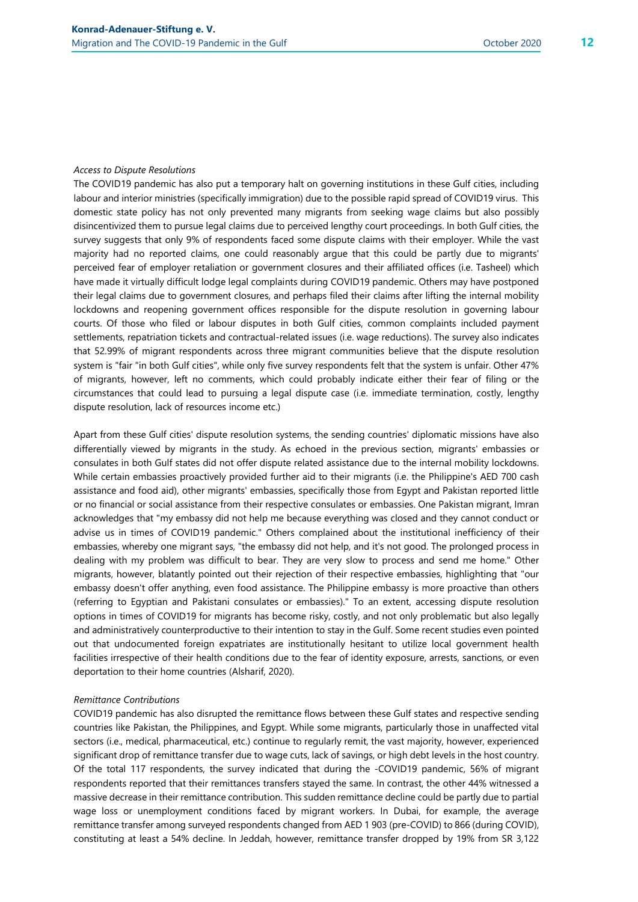Access to Dispute Resolutions

The COVID19 pandemic has also put a temporary halt on governing institutions in these Gulf cities, including labour and interior ministries (specifically immigration) due to the possible rapid spread of COVID19 virus. This domestic state policy has not only prevented many migrants from seeking wage claims but also possibly disincentivized them to pursue legal claims due to perceived lengthy court proceedings. In both Gulf cities, the survey suggests that only 9% of respondents faced some dispute claims with their employer. While the vast majority had no reported claims, one could reasonably argue that this could be partly due to migrants' perceived fear of employer retaliation or government closures and their affiliated offices (i.e. Tasheel) which have made it virtually difficult lodge legal complaints during COVID19 pandemic. Others may have postponed their legal claims due to government closures, and perhaps filed their claims after lifting the internal mobility lockdowns and reopening government offices responsible for the dispute resolution in governing labour courts. Of those who filed or labour disputes in both Gulf cities, common complaints included payment settlements, repatriation tickets and contractual-related issues (i.e. wage reductions). The survey also indicates that 52.99% of migrant respondents across three migrant communities believe that the dispute resolution system is "fair "in both Gulf cities", while only five survey respondents felt that the system is unfair. Other 47% of migrants, however, left no comments, which could probably indicate either their fear of filing or the circumstances that could lead to pursuing a legal dispute case (i.e. immediate termination, costly, lengthy dispute resolution, lack of resources income etc.)

Apart from these Gulf cities' dispute resolution systems, the sending countries' diplomatic missions have also differentially viewed by migrants in the study. As echoed in the previous section, migrants' embassies or consulates in both Gulf states did not offer dispute related assistance due to the internal mobility lockdowns. While certain embassies proactively provided further aid to their migrants (i.e. the Philippine's AED 700 cash assistance and food aid), other migrants' embassies, specifically those from Egypt and Pakistan reported little or no financial or social assistance from their respective consulates or embassies. One Pakistan migrant, Imran acknowledges that "my embassy did not help me because everything was closed and they cannot conduct or advise us in times of COVID19 pandemic." Others complained about the institutional inefficiency of their embassies, whereby one migrant says, "the embassy did not help, and it's not good. The prolonged process in dealing with my problem was difficult to bear. They are very slow to process and send me home." Other migrants, however, blatantly pointed out their rejection of their respective embassies, highlighting that "our embassy doesn't offer anything, even food assistance. The Philippine embassy is more proactive than others (referring to Egyptian and Pakistani consulates or embassies)." To an extent, accessing dispute resolution options in times of COVID19 for migrants has become risky, costly, and not only problematic but also legally and administratively counterproductive to their intention to stay in the Gulf. Some recent studies even pointed out that undocumented foreign expatriates are institutionally hesitant to utilize local government health facilities irrespective of their health conditions due to the fear of identity exposure, arrests, sanctions, or even deportation to their home countries (Alsharif, 2020).

#### Remittance Contributions

COVID19 pandemic has also disrupted the remittance flows between these Gulf states and respective sending countries like Pakistan, the Philippines, and Egypt. While some migrants, particularly those in unaffected vital sectors (i.e., medical, pharmaceutical, etc.) continue to regularly remit, the vast majority, however, experienced significant drop of remittance transfer due to wage cuts, lack of savings, or high debt levels in the host country. Of the total 117 respondents, the survey indicated that during the -COVID19 pandemic, 56% of migrant respondents reported that their remittances transfers stayed the same. In contrast, the other 44% witnessed a massive decrease in their remittance contribution. This sudden remittance decline could be partly due to partial wage loss or unemployment conditions faced by migrant workers. In Dubai, for example, the average remittance transfer among surveyed respondents changed from AED 1 903 (pre-COVID) to 866 (during COVID), constituting at least a 54% decline. In Jeddah, however, remittance transfer dropped by 19% from SR 3,122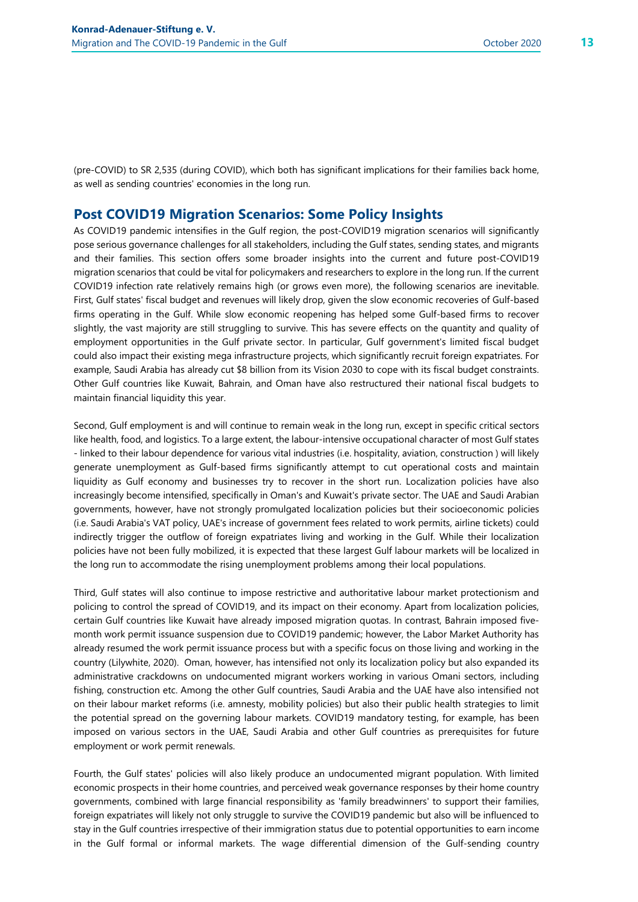(pre-COVID) to SR 2,535 (during COVID), which both has significant implications for their families back home, as well as sending countries' economies in the long run.

# Post COVID19 Migration Scenarios: Some Policy Insights

As COVID19 pandemic intensifies in the Gulf region, the post-COVID19 migration scenarios will significantly pose serious governance challenges for all stakeholders, including the Gulf states, sending states, and migrants and their families. This section offers some broader insights into the current and future post-COVID19 migration scenarios that could be vital for policymakers and researchers to explore in the long run. If the current COVID19 infection rate relatively remains high (or grows even more), the following scenarios are inevitable. First, Gulf states' fiscal budget and revenues will likely drop, given the slow economic recoveries of Gulf-based firms operating in the Gulf. While slow economic reopening has helped some Gulf-based firms to recover slightly, the vast majority are still struggling to survive. This has severe effects on the quantity and quality of employment opportunities in the Gulf private sector. In particular, Gulf government's limited fiscal budget could also impact their existing mega infrastructure projects, which significantly recruit foreign expatriates. For example, Saudi Arabia has already cut \$8 billion from its Vision 2030 to cope with its fiscal budget constraints. Other Gulf countries like Kuwait, Bahrain, and Oman have also restructured their national fiscal budgets to maintain financial liquidity this year.

Second, Gulf employment is and will continue to remain weak in the long run, except in specific critical sectors like health, food, and logistics. To a large extent, the labour-intensive occupational character of most Gulf states - linked to their labour dependence for various vital industries (i.e. hospitality, aviation, construction ) will likely generate unemployment as Gulf-based firms significantly attempt to cut operational costs and maintain liquidity as Gulf economy and businesses try to recover in the short run. Localization policies have also increasingly become intensified, specifically in Oman's and Kuwait's private sector. The UAE and Saudi Arabian governments, however, have not strongly promulgated localization policies but their socioeconomic policies (i.e. Saudi Arabia's VAT policy, UAE's increase of government fees related to work permits, airline tickets) could indirectly trigger the outflow of foreign expatriates living and working in the Gulf. While their localization policies have not been fully mobilized, it is expected that these largest Gulf labour markets will be localized in the long run to accommodate the rising unemployment problems among their local populations.

Third, Gulf states will also continue to impose restrictive and authoritative labour market protectionism and policing to control the spread of COVID19, and its impact on their economy. Apart from localization policies, certain Gulf countries like Kuwait have already imposed migration quotas. In contrast, Bahrain imposed fivemonth work permit issuance suspension due to COVID19 pandemic; however, the Labor Market Authority has already resumed the work permit issuance process but with a specific focus on those living and working in the country (Lilywhite, 2020). Oman, however, has intensified not only its localization policy but also expanded its administrative crackdowns on undocumented migrant workers working in various Omani sectors, including fishing, construction etc. Among the other Gulf countries, Saudi Arabia and the UAE have also intensified not on their labour market reforms (i.e. amnesty, mobility policies) but also their public health strategies to limit the potential spread on the governing labour markets. COVID19 mandatory testing, for example, has been imposed on various sectors in the UAE, Saudi Arabia and other Gulf countries as prerequisites for future employment or work permit renewals.

Fourth, the Gulf states' policies will also likely produce an undocumented migrant population. With limited economic prospects in their home countries, and perceived weak governance responses by their home country governments, combined with large financial responsibility as 'family breadwinners' to support their families, foreign expatriates will likely not only struggle to survive the COVID19 pandemic but also will be influenced to stay in the Gulf countries irrespective of their immigration status due to potential opportunities to earn income in the Gulf formal or informal markets. The wage differential dimension of the Gulf-sending country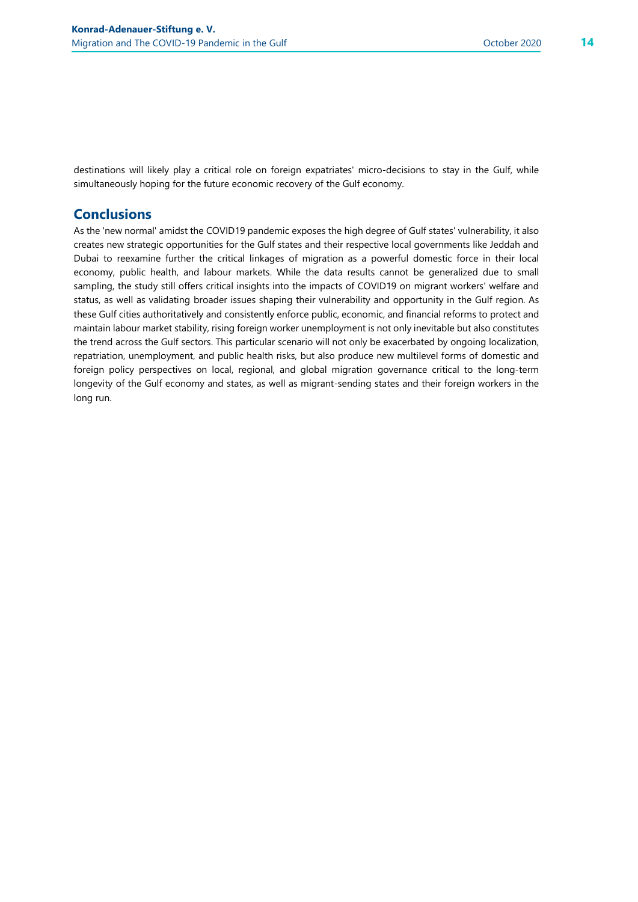simultaneously hoping for the future economic recovery of the Gulf economy.

destinations will likely play a critical role on foreign expatriates' micro-decisions to stay in the Gulf, while

# **Conclusions**

As the 'new normal' amidst the COVID19 pandemic exposes the high degree of Gulf states' vulnerability, it also creates new strategic opportunities for the Gulf states and their respective local governments like Jeddah and Dubai to reexamine further the critical linkages of migration as a powerful domestic force in their local economy, public health, and labour markets. While the data results cannot be generalized due to small sampling, the study still offers critical insights into the impacts of COVID19 on migrant workers' welfare and status, as well as validating broader issues shaping their vulnerability and opportunity in the Gulf region. As these Gulf cities authoritatively and consistently enforce public, economic, and financial reforms to protect and maintain labour market stability, rising foreign worker unemployment is not only inevitable but also constitutes the trend across the Gulf sectors. This particular scenario will not only be exacerbated by ongoing localization, repatriation, unemployment, and public health risks, but also produce new multilevel forms of domestic and foreign policy perspectives on local, regional, and global migration governance critical to the long-term longevity of the Gulf economy and states, as well as migrant-sending states and their foreign workers in the long run.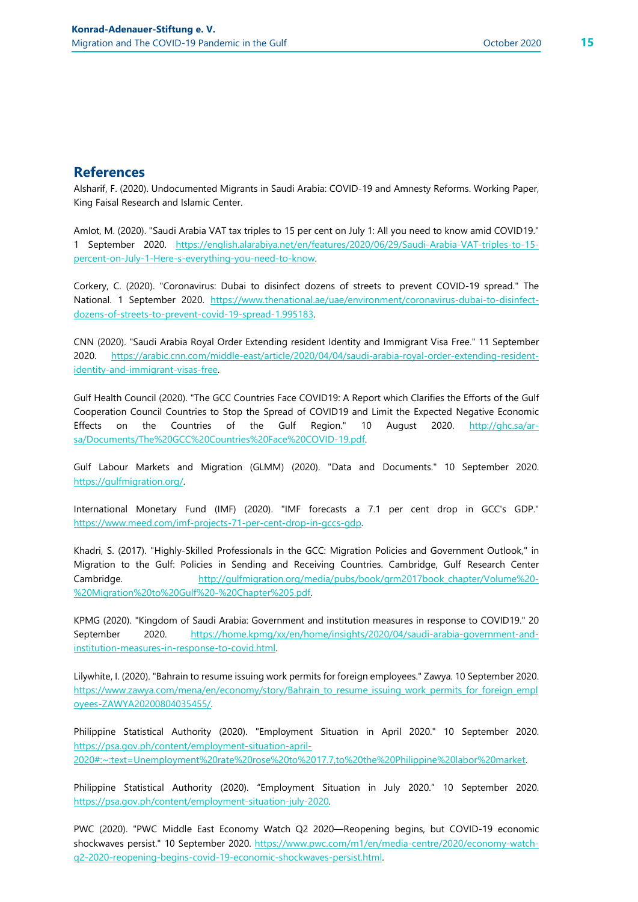# **References**

Alsharif, F. (2020). Undocumented Migrants in Saudi Arabia: COVID-19 and Amnesty Reforms. Working Paper, King Faisal Research and Islamic Center.

Amlot, M. (2020). "Saudi Arabia VAT tax triples to 15 per cent on July 1: All you need to know amid COVID19." 1 September 2020. https://english.alarabiya.net/en/features/2020/06/29/Saudi-Arabia-VAT-triples-to-15 percent-on-July-1-Here-s-everything-you-need-to-know.

Corkery, C. (2020). "Coronavirus: Dubai to disinfect dozens of streets to prevent COVID-19 spread." The National. 1 September 2020. https://www.thenational.ae/uae/environment/coronavirus-dubai-to-disinfectdozens-of-streets-to-prevent-covid-19-spread-1.995183.

CNN (2020). "Saudi Arabia Royal Order Extending resident Identity and Immigrant Visa Free." 11 September 2020. https://arabic.cnn.com/middle-east/article/2020/04/04/saudi-arabia-royal-order-extending-residentidentity-and-immigrant-visas-free.

Gulf Health Council (2020). "The GCC Countries Face COVID19: A Report which Clarifies the Efforts of the Gulf Cooperation Council Countries to Stop the Spread of COVID19 and Limit the Expected Negative Economic Effects on the Countries of the Gulf Region." 10 August 2020. http://ghc.sa/arsa/Documents/The%20GCC%20Countries%20Face%20COVID-19.pdf.

Gulf Labour Markets and Migration (GLMM) (2020). "Data and Documents." 10 September 2020. https://gulfmigration.org/.

International Monetary Fund (IMF) (2020). "IMF forecasts a 7.1 per cent drop in GCC's GDP." https://www.meed.com/imf-projects-71-per-cent-drop-in-gccs-gdp.

Khadri, S. (2017). "Highly-Skilled Professionals in the GCC: Migration Policies and Government Outlook," in Migration to the Gulf: Policies in Sending and Receiving Countries. Cambridge, Gulf Research Center Cambridge. http://gulfmigration.org/media/pubs/book/grm2017book\_chapter/Volume%20-%20Migration%20to%20Gulf%20-%20Chapter%205.pdf.

KPMG (2020). "Kingdom of Saudi Arabia: Government and institution measures in response to COVID19." 20 September 2020. https://home.kpmg/xx/en/home/insights/2020/04/saudi-arabia-government-andinstitution-measures-in-response-to-covid.html.

Lilywhite, I. (2020). "Bahrain to resume issuing work permits for foreign employees." Zawya. 10 September 2020. https://www.zawya.com/mena/en/economy/story/Bahrain\_to\_resume\_issuing\_work\_permits\_for\_foreign\_empl oyees-ZAWYA20200804035455/.

Philippine Statistical Authority (2020). "Employment Situation in April 2020." 10 September 2020. https://psa.gov.ph/content/employment-situation-april-2020#:~:text=Unemployment%20rate%20rose%20to%2017.7,to%20the%20Philippine%20labor%20market.

Philippine Statistical Authority (2020). "Employment Situation in July 2020." 10 September 2020. https://psa.gov.ph/content/employment-situation-july-2020.

PWC (2020). "PWC Middle East Economy Watch Q2 2020—Reopening begins, but COVID-19 economic shockwaves persist." 10 September 2020. https://www.pwc.com/m1/en/media-centre/2020/economy-watchq2-2020-reopening-begins-covid-19-economic-shockwaves-persist.html.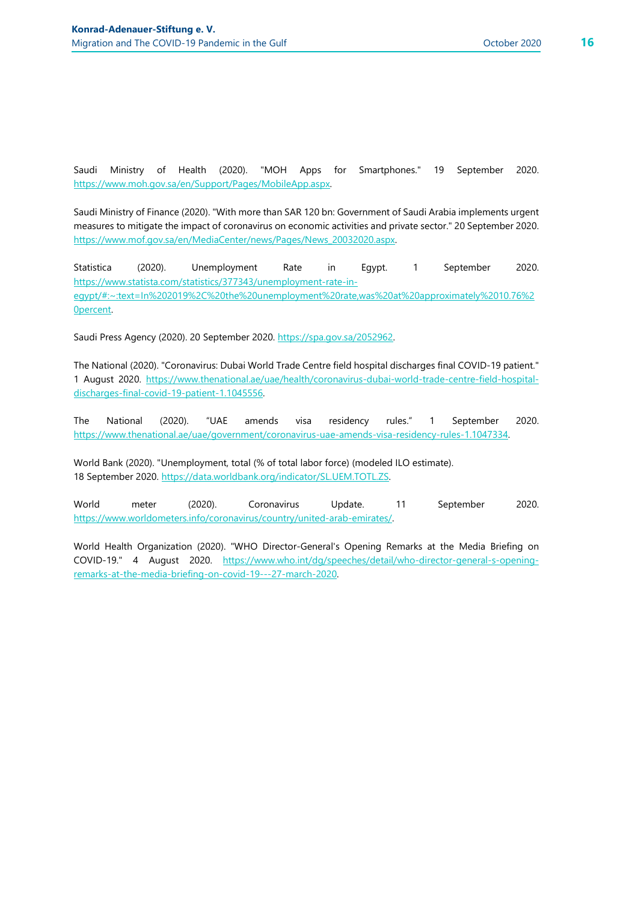Saudi Ministry of Health (2020). "MOH Apps for Smartphones." 19 September 2020. https://www.moh.gov.sa/en/Support/Pages/MobileApp.aspx.

Saudi Ministry of Finance (2020). "With more than SAR 120 bn: Government of Saudi Arabia implements urgent measures to mitigate the impact of coronavirus on economic activities and private sector." 20 September 2020. https://www.mof.gov.sa/en/MediaCenter/news/Pages/News\_20032020.aspx.

Statistica (2020). Unemployment Rate in Egypt. 1 September 2020. https://www.statista.com/statistics/377343/unemployment-rate-inegypt/#:~:text=In%202019%2C%20the%20unemployment%20rate,was%20at%20approximately%2010.76%2 0percent.

Saudi Press Agency (2020). 20 September 2020. https://spa.gov.sa/2052962.

The National (2020). "Coronavirus: Dubai World Trade Centre field hospital discharges final COVID-19 patient." 1 August 2020. https://www.thenational.ae/uae/health/coronavirus-dubai-world-trade-centre-field-hospitaldischarges-final-covid-19-patient-1.1045556.

The National (2020). "UAE amends visa residency rules." 1 September 2020. https://www.thenational.ae/uae/government/coronavirus-uae-amends-visa-residency-rules-1.1047334.

World Bank (2020). "Unemployment, total (% of total labor force) (modeled ILO estimate). 18 September 2020. https://data.worldbank.org/indicator/SL.UEM.TOTL.ZS.

World meter (2020). Coronavirus Update. 11 September 2020. https://www.worldometers.info/coronavirus/country/united-arab-emirates/.

World Health Organization (2020). "WHO Director-General's Opening Remarks at the Media Briefing on COVID-19." 4 August 2020. https://www.who.int/dg/speeches/detail/who-director-general-s-openingremarks-at-the-media-briefing-on-covid-19---27-march-2020.